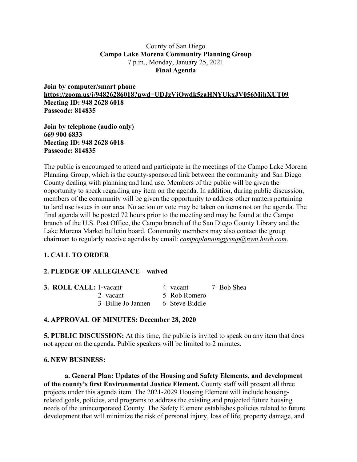### County of San Diego **Campo Lake Morena Community Planning Group** 7 p.m., Monday, January 25, 2021 **Final Agenda**

**Join by computer/smart phone https://zoom.us/j/94826286018?pwd=UDJzVjQwdk5zaHNYUkxJV056MjhXUT09 Meeting ID: 948 2628 6018 Passcode: 814835**

**Join by telephone (audio only) 669 900 6833 Meeting ID: 948 2628 6018 Passcode: 814835**

The public is encouraged to attend and participate in the meetings of the Campo Lake Morena Planning Group, which is the county-sponsored link between the community and San Diego County dealing with planning and land use. Members of the public will be given the opportunity to speak regarding any item on the agenda. In addition, during public discussion, members of the community will be given the opportunity to address other matters pertaining to land use issues in our area. No action or vote may be taken on items not on the agenda. The final agenda will be posted 72 hours prior to the meeting and may be found at the Campo branch of the U.S. Post Office, the Campo branch of the San Diego County Library and the Lake Morena Market bulletin board. Community members may also contact the group chairman to regularly receive agendas by email: *campoplanninggroup@nym.hush.com*.

# **1. CALL TO ORDER**

# **2. PLEDGE OF ALLEGIANCE – waived**

| <b>3. ROLL CALL: 1-vacant</b> |                     | 4- vacant       | 7- Bob Shea |
|-------------------------------|---------------------|-----------------|-------------|
|                               | 2- vacant           | 5- Rob Romero   |             |
|                               | 3- Billie Jo Jannen | 6- Steve Biddle |             |

# **4. APPROVAL OF MINUTES: December 28, 2020**

**5. PUBLIC DISCUSSION:** At this time, the public is invited to speak on any item that does not appear on the agenda. Public speakers will be limited to 2 minutes.

#### **6. NEW BUSINESS:**

**a. General Plan: Updates of the Housing and Safety Elements, and development of the county's first Environmental Justice Element.** County staff will present all three projects under this agenda item. The 2021-2029 Housing Element will include housingrelated goals, policies, and programs to address the existing and projected future housing needs of the unincorporated County. The Safety Element establishes policies related to future development that will minimize the risk of personal injury, loss of life, property damage, and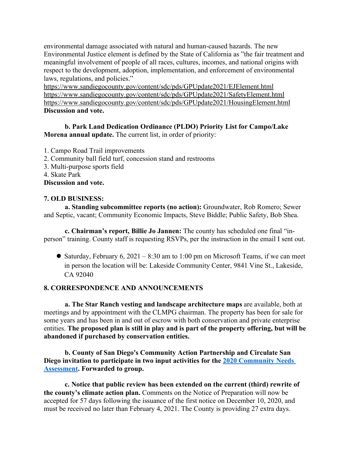environmental damage associated with natural and human-caused hazards. The new Environmental Justice element is defined by the State of California as "the fair treatment and meaningful involvement of people of all races, cultures, incomes, and national origins with respect to the development, adoption, implementation, and enforcement of environmental laws, regulations, and policies."

https://www.sandiegocounty.gov/content/sdc/pds/GPUpdate2021/EJElement.html https://www.sandiegocounty.gov/content/sdc/pds/GPUpdate2021/SafetyElement.html https://www.sandiegocounty.gov/content/sdc/pds/GPUpdate2021/HousingElement.html **Discussion and vote.**

# **b. Park Land Dedication Ordinance (PLDO) Priority List for Campo/Lake Morena annual update.** The current list, in order of priority:

- 1. Campo Road Trail improvements
- 2. Community ball field turf, concession stand and restrooms
- 3. Multi-purpose sports field
- 4. Skate Park

**Discussion and vote.**

### **7. OLD BUSINESS:**

**a. Standing subcommittee reports (no action):** Groundwater, Rob Romero; Sewer and Septic, vacant; Community Economic Impacts, Steve Biddle; Public Safety, Bob Shea.

**c. Chairman's report, Billie Jo Jannen:** The county has scheduled one final "inperson" training. County staff is requesting RSVPs, per the instruction in the email I sent out.

• Saturday, February 6, 2021 – 8:30 am to 1:00 pm on Microsoft Teams, if we can meet in person the location will be: Lakeside Community Center, 9841 Vine St., Lakeside, CA 92040

# **8. CORRESPONDENCE AND ANNOUNCEMENTS**

**a. The Star Ranch vesting and landscape architecture maps** are available, both at meetings and by appointment with the CLMPG chairman. The property has been for sale for some years and has been in and out of escrow with both conservation and private enterprise entities. **The proposed plan is still in play and is part of the property offering, but will be abandoned if purchased by conservation entities.**

**b. County of San Diego's Community Action Partnership and Circulate San Diego invitation to participate in two input activities for the 2020 Community Needs Assessment. Forwarded to group.**

**c. Notice that public review has been extended on the current (third) rewrite of the county's climate action plan.** Comments on the Notice of Preparation will now be accepted for 57 days following the issuance of the first notice on December 10, 2020, and must be received no later than February 4, 2021. The County is providing 27 extra days.